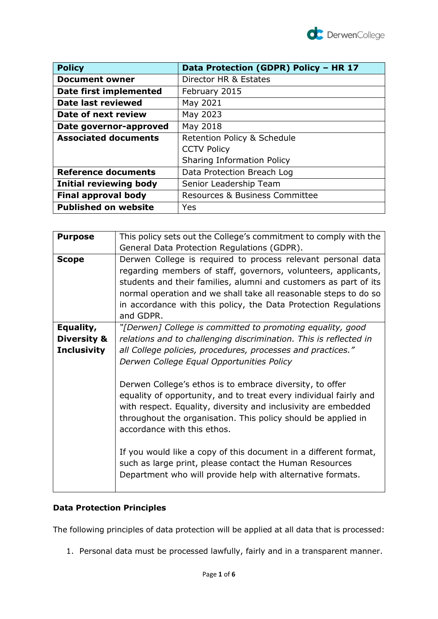

| <b>Policy</b>                 | Data Protection (GDPR) Policy - HR 17     |
|-------------------------------|-------------------------------------------|
| <b>Document owner</b>         | Director HR & Estates                     |
| Date first implemented        | February 2015                             |
| Date last reviewed            | May 2021                                  |
| Date of next review           | May 2023                                  |
| Date governor-approved        | May 2018                                  |
| <b>Associated documents</b>   | Retention Policy & Schedule               |
|                               | <b>CCTV Policy</b>                        |
|                               | <b>Sharing Information Policy</b>         |
| <b>Reference documents</b>    | Data Protection Breach Log                |
| <b>Initial reviewing body</b> | Senior Leadership Team                    |
| <b>Final approval body</b>    | <b>Resources &amp; Business Committee</b> |
| <b>Published on website</b>   | Yes                                       |

| This policy sets out the College's commitment to comply with the                                                                                                                                                                                                                                                                                                                                                                                                                             |
|----------------------------------------------------------------------------------------------------------------------------------------------------------------------------------------------------------------------------------------------------------------------------------------------------------------------------------------------------------------------------------------------------------------------------------------------------------------------------------------------|
| General Data Protection Regulations (GDPR).                                                                                                                                                                                                                                                                                                                                                                                                                                                  |
| Derwen College is required to process relevant personal data<br>regarding members of staff, governors, volunteers, applicants,<br>students and their families, alumni and customers as part of its<br>normal operation and we shall take all reasonable steps to do so<br>in accordance with this policy, the Data Protection Regulations<br>and GDPR.                                                                                                                                       |
| "[Derwen] College is committed to promoting equality, good                                                                                                                                                                                                                                                                                                                                                                                                                                   |
| relations and to challenging discrimination. This is reflected in                                                                                                                                                                                                                                                                                                                                                                                                                            |
| all College policies, procedures, processes and practices."                                                                                                                                                                                                                                                                                                                                                                                                                                  |
| Derwen College Equal Opportunities Policy                                                                                                                                                                                                                                                                                                                                                                                                                                                    |
| Derwen College's ethos is to embrace diversity, to offer<br>equality of opportunity, and to treat every individual fairly and<br>with respect. Equality, diversity and inclusivity are embedded<br>throughout the organisation. This policy should be applied in<br>accordance with this ethos.<br>If you would like a copy of this document in a different format,<br>such as large print, please contact the Human Resources<br>Department who will provide help with alternative formats. |
|                                                                                                                                                                                                                                                                                                                                                                                                                                                                                              |

# **Data Protection Principles**

The following principles of data protection will be applied at all data that is processed:

1. Personal data must be processed lawfully, fairly and in a transparent manner.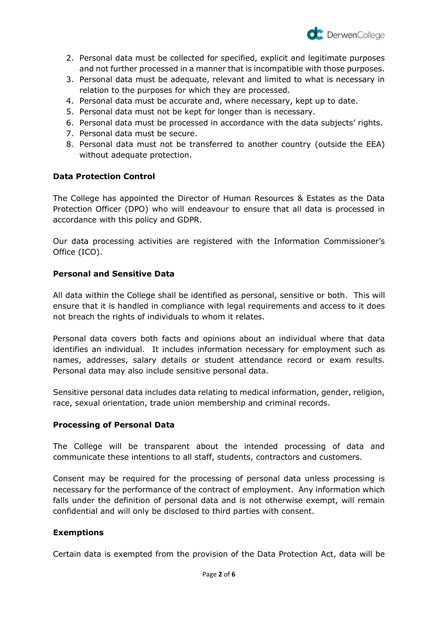

- 2. Personal data must be collected for specified, explicit and legitimate purposes and not further processed in a manner that is incompatible with those purposes.
- 3. Personal data must be adequate, relevant and limited to what is necessary in relation to the purposes for which they are processed.
- 4. Personal data must be accurate and, where necessary, kept up to date.
- 5. Personal data must not be kept for longer than is necessary.
- 6. Personal data must be processed in accordance with the data subjects' rights.
- 7. Personal data must be secure.
- 8. Personal data must not be transferred to another country (outside the EEA) without adequate protection.

# **Data Protection Control**

The College has appointed the Director of Human Resources & Estates as the Data Protection Officer (DPO) who will endeavour to ensure that all data is processed in accordance with this policy and GDPR.

Our data processing activities are registered with the Information Commissioner's Office (ICO).

### **Personal and Sensitive Data**

All data within the College shall be identified as personal, sensitive or both. This will ensure that it is handled in compliance with legal requirements and access to it does not breach the rights of individuals to whom it relates.

Personal data covers both facts and opinions about an individual where that data identifies an individual. It includes information necessary for employment such as names, addresses, salary details or student attendance record or exam results. Personal data may also include sensitive personal data.

Sensitive personal data includes data relating to medical information, gender, religion, race, sexual orientation, trade union membership and criminal records.

# **Processing of Personal Data**

The College will be transparent about the intended processing of data and communicate these intentions to all staff, students, contractors and customers.

Consent may be required for the processing of personal data unless processing is necessary for the performance of the contract of employment. Any information which falls under the definition of personal data and is not otherwise exempt, will remain confidential and will only be disclosed to third parties with consent.

#### **Exemptions**

Certain data is exempted from the provision of the Data Protection Act, data will be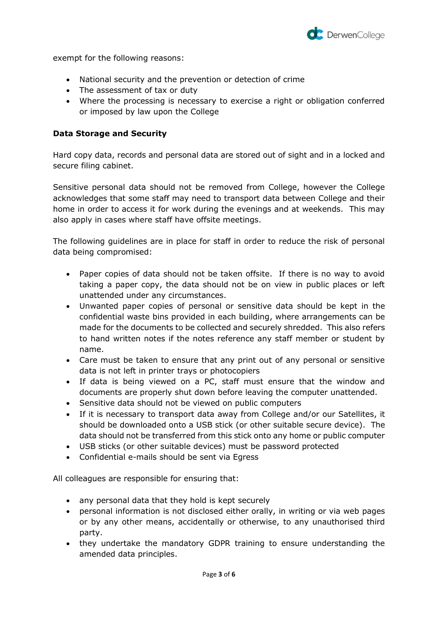

exempt for the following reasons:

- National security and the prevention or detection of crime
- The assessment of tax or duty
- Where the processing is necessary to exercise a right or obligation conferred or imposed by law upon the College

### **Data Storage and Security**

Hard copy data, records and personal data are stored out of sight and in a locked and secure filing cabinet.

Sensitive personal data should not be removed from College, however the College acknowledges that some staff may need to transport data between College and their home in order to access it for work during the evenings and at weekends. This may also apply in cases where staff have offsite meetings.

The following guidelines are in place for staff in order to reduce the risk of personal data being compromised:

- Paper copies of data should not be taken offsite. If there is no way to avoid taking a paper copy, the data should not be on view in public places or left unattended under any circumstances.
- Unwanted paper copies of personal or sensitive data should be kept in the confidential waste bins provided in each building, where arrangements can be made for the documents to be collected and securely shredded. This also refers to hand written notes if the notes reference any staff member or student by name.
- Care must be taken to ensure that any print out of any personal or sensitive data is not left in printer trays or photocopiers
- If data is being viewed on a PC, staff must ensure that the window and documents are properly shut down before leaving the computer unattended.
- Sensitive data should not be viewed on public computers
- If it is necessary to transport data away from College and/or our Satellites, it should be downloaded onto a USB stick (or other suitable secure device). The data should not be transferred from this stick onto any home or public computer
- USB sticks (or other suitable devices) must be password protected
- Confidential e-mails should be sent via Egress

All colleagues are responsible for ensuring that:

- any personal data that they hold is kept securely
- personal information is not disclosed either orally, in writing or via web pages or by any other means, accidentally or otherwise, to any unauthorised third party.
- they undertake the mandatory GDPR training to ensure understanding the amended data principles.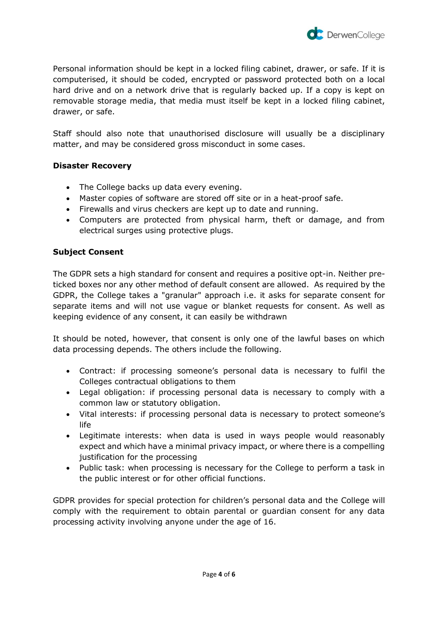

Personal information should be kept in a locked filing cabinet, drawer, or safe. If it is computerised, it should be coded, encrypted or password protected both on a local hard drive and on a network drive that is regularly backed up. If a copy is kept on removable storage media, that media must itself be kept in a locked filing cabinet, drawer, or safe.

Staff should also note that unauthorised disclosure will usually be a disciplinary matter, and may be considered gross misconduct in some cases.

### **Disaster Recovery**

- The College backs up data every evening.
- Master copies of software are stored off site or in a heat-proof safe.
- Firewalls and virus checkers are kept up to date and running.
- Computers are protected from physical harm, theft or damage, and from electrical surges using protective plugs.

# **Subject Consent**

The GDPR sets a high standard for consent and requires a positive opt-in. Neither preticked boxes nor any other method of default consent are allowed. As required by the GDPR, the College takes a "granular" approach i.e. it asks for separate consent for separate items and will not use vague or blanket requests for consent. As well as keeping evidence of any consent, it can easily be withdrawn

It should be noted, however, that consent is only one of the lawful bases on which data processing depends. The others include the following.

- Contract: if processing someone's personal data is necessary to fulfil the Colleges contractual obligations to them
- Legal obligation: if processing personal data is necessary to comply with a common law or statutory obligation.
- Vital interests: if processing personal data is necessary to protect someone's life
- Legitimate interests: when data is used in ways people would reasonably expect and which have a minimal privacy impact, or where there is a compelling justification for the processing
- Public task: when processing is necessary for the College to perform a task in the public interest or for other official functions.

GDPR provides for special protection for children's personal data and the College will comply with the requirement to obtain parental or guardian consent for any data processing activity involving anyone under the age of 16.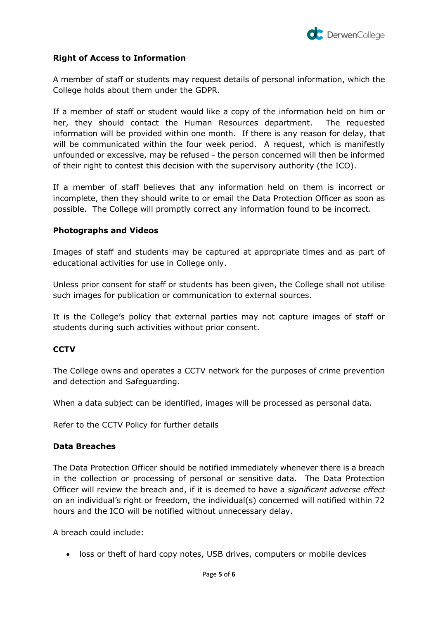

#### **Right of Access to Information**

A member of staff or students may request details of personal information, which the College holds about them under the GDPR.

If a member of staff or student would like a copy of the information held on him or her, they should contact the Human Resources department. The requested information will be provided within one month. If there is any reason for delay, that will be communicated within the four week period. A request, which is manifestly unfounded or excessive, may be refused - the person concerned will then be informed of their right to contest this decision with the supervisory authority (the ICO).

If a member of staff believes that any information held on them is incorrect or incomplete, then they should write to or email the Data Protection Officer as soon as possible. The College will promptly correct any information found to be incorrect.

#### **Photographs and Videos**

Images of staff and students may be captured at appropriate times and as part of educational activities for use in College only.

Unless prior consent for staff or students has been given, the College shall not utilise such images for publication or communication to external sources.

It is the College's policy that external parties may not capture images of staff or students during such activities without prior consent.

# **CCTV**

The College owns and operates a CCTV network for the purposes of crime prevention and detection and Safeguarding.

When a data subject can be identified, images will be processed as personal data.

Refer to the CCTV Policy for further details

#### **Data Breaches**

The Data Protection Officer should be notified immediately whenever there is a breach in the collection or processing of personal or sensitive data. The Data Protection Officer will review the breach and, if it is deemed to have a *significant adverse effect* on an individual's right or freedom, the individual(s) concerned will notified within 72 hours and the ICO will be notified without unnecessary delay.

A breach could include:

• loss or theft of hard copy notes, USB drives, computers or mobile devices